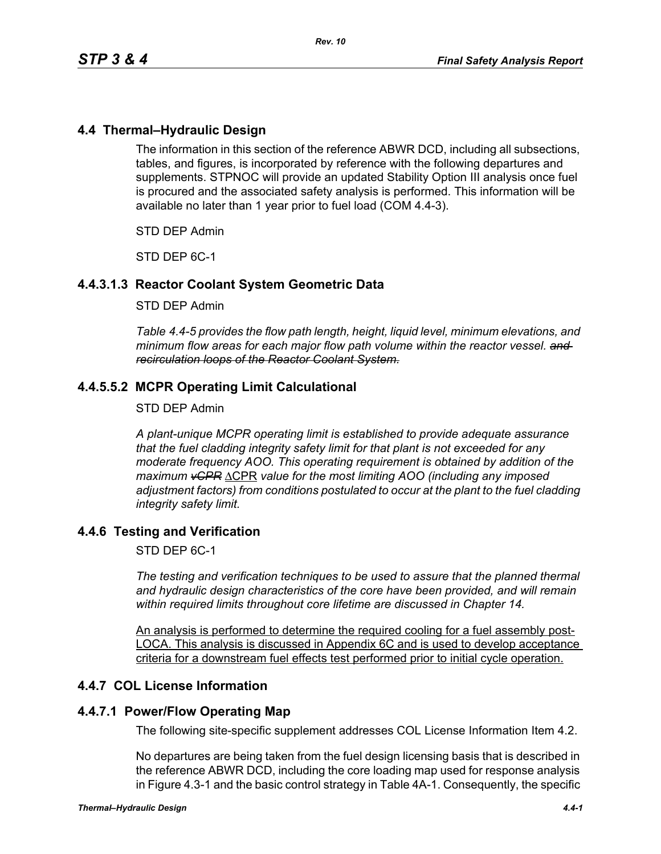# **4.4 Thermal–Hydraulic Design**

The information in this section of the reference ABWR DCD, including all subsections, tables, and figures, is incorporated by reference with the following departures and supplements. STPNOC will provide an updated Stability Option III analysis once fuel is procured and the associated safety analysis is performed. This information will be available no later than 1 year prior to fuel load (COM 4.4-3).

STD DEP Admin

STD DEP 6C-1

## **4.4.3.1.3 Reactor Coolant System Geometric Data**

#### STD DEP Admin

*Table 4.4-5 provides the flow path length, height, liquid level, minimum elevations, and minimum flow areas for each major flow path volume within the reactor vessel. and recirculation loops of the Reactor Coolant System.*

## **4.4.5.5.2 MCPR Operating Limit Calculational**

#### STD DEP Admin

*A plant-unique MCPR operating limit is established to provide adequate assurance that the fuel cladding integrity safety limit for that plant is not exceeded for any moderate frequency AOO. This operating requirement is obtained by addition of the maximum vCPR* ΔCPR *value for the most limiting AOO (including any imposed adjustment factors) from conditions postulated to occur at the plant to the fuel cladding integrity safety limit.*

#### **4.4.6 Testing and Verification**

STD DEP 6C-1

*The testing and verification techniques to be used to assure that the planned thermal and hydraulic design characteristics of the core have been provided, and will remain within required limits throughout core lifetime are discussed in Chapter 14.*

An analysis is performed to determine the required cooling for a fuel assembly post-LOCA. This analysis is discussed in Appendix 6C and is used to develop acceptance criteria for a downstream fuel effects test performed prior to initial cycle operation.

#### **4.4.7 COL License Information**

# **4.4.7.1 Power/Flow Operating Map**

The following site-specific supplement addresses COL License Information Item 4.2.

No departures are being taken from the fuel design licensing basis that is described in the reference ABWR DCD, including the core loading map used for response analysis in Figure 4.3-1 and the basic control strategy in Table 4A-1. Consequently, the specific